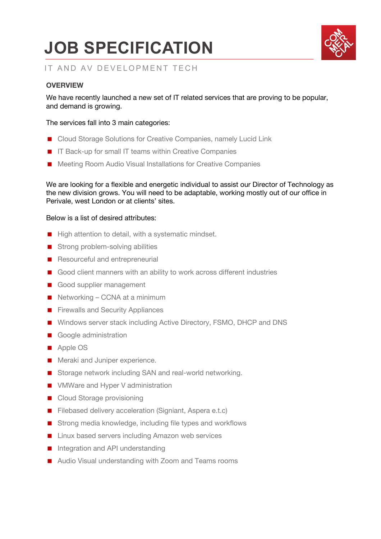# **JOB SPECIFICATION**



## IT AND AV DEVELOPMENT TECH

### **OVERVIEW**

We have recently launched a new set of IT related services that are proving to be popular, and demand is growing.

#### The services fall into 3 main categories:

- Cloud Storage Solutions for Creative Companies, namely Lucid Link
- IT Back-up for small IT teams within Creative Companies
- Meeting Room Audio Visual Installations for Creative Companies

We are looking for a flexible and energetic individual to assist our Director of Technology as the new division grows. You will need to be adaptable, working mostly out of our office in Perivale, west London or at clients' sites.

#### Below is a list of desired attributes:

- High attention to detail, with a systematic mindset.
- Strong problem-solving abilities
- Resourceful and entrepreneurial
- Good client manners with an ability to work across different industries
- Good supplier management
- Networking CCNA at a minimum
- Firewalls and Security Appliances
- Windows server stack including Active Directory, FSMO, DHCP and DNS
- Google administration
- Apple OS
- **Meraki and Juniper experience.**
- Storage network including SAN and real-world networking.
- VMWare and Hyper V administration
- Cloud Storage provisioning
- Filebased delivery acceleration (Signiant, Aspera e.t.c)
- Strong media knowledge, including file types and workflows
- Linux based servers including Amazon web services
- Integration and API understanding
- Audio Visual understanding with Zoom and Teams rooms